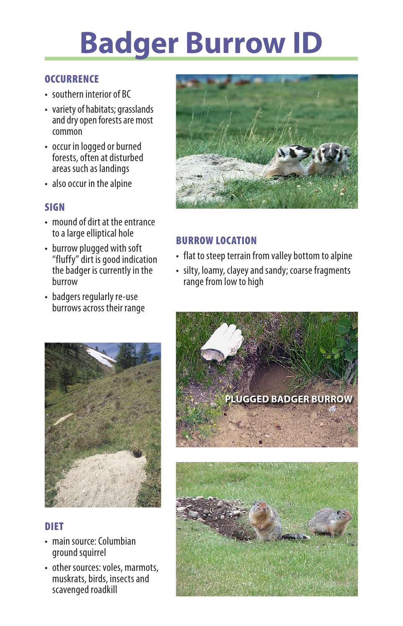# **Badger Burrow ID**

## **OCCURRENCE**

- southern interior of BC
- variety of habitats; grasslands and dry open forests are most common
- occur in logged or burned forests, often at disturbed areas such as landings
- also occur in the alpine

### **SIGN**

- mound of dirt at the entrance to a large elliptical hole
- burrow plugged with soft "fluffy" dirt is good indication the badger is currently in the burrow
- badgers regularly re-use burrowsacross their range



# **DIFT**

- main source: Columbian ground squirrel
- other sources: voles, marmots, muskrats, birds, insects and scavenged roadkill



# Burrow Location

- flat to steep terrain from valley bottom to alpine
- silty, loamy, clayey and sandy; coarse fragments range from low to high